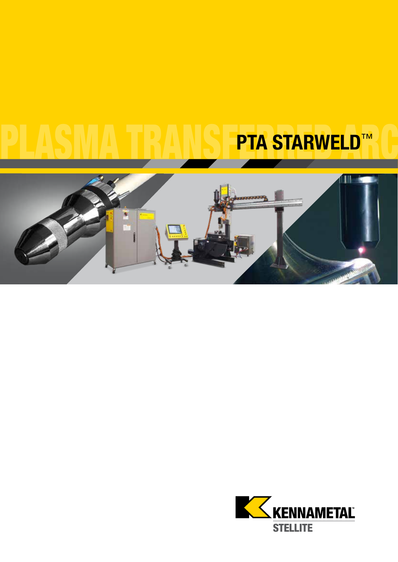# PTA STARWELD™



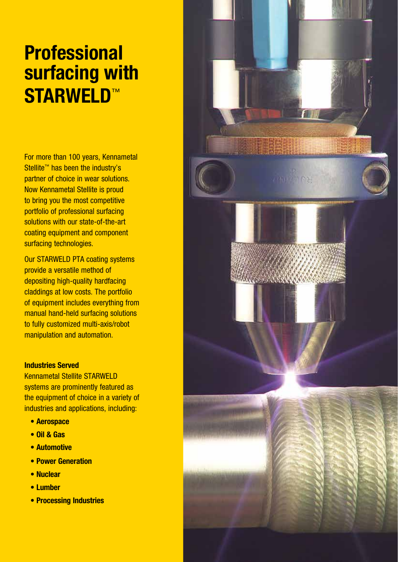# **Professional** surfacing with STARWELD™

For more than 100 years, Kennametal Stellite™ has been the industry's partner of choice in wear solutions. Now Kennametal Stellite is proud to bring you the most competitive portfolio of professional surfacing solutions with our state-of-the-art coating equipment and component surfacing technologies.

Our STARWELD PTA coating systems provide a versatile method of depositing high-quality hardfacing claddings at low costs. The portfolio of equipment includes everything from manual hand-held surfacing solutions to fully customized multi-axis/robot manipulation and automation.

#### Industries Served

Kennametal Stellite STARWELD systems are prominently featured as the equipment of choice in a variety of industries and applications, including:

- Aerospace
- Oil & Gas
- Automotive
- Power Generation
- Nuclear
- Lumber
- Processing Industries

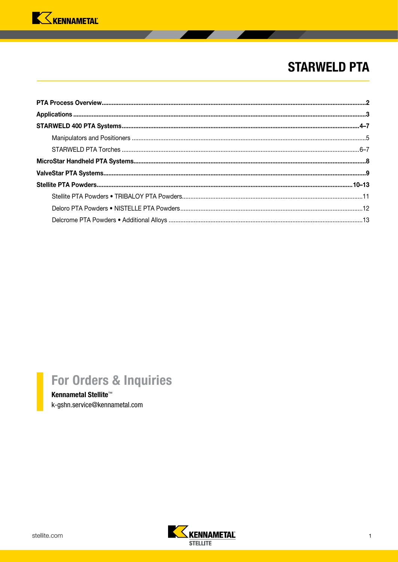

## **STARWELD PTA**

# For Orders & Inquiries

Kennametal Stellite<sup>™</sup> k-gshn.service@kennametal.com

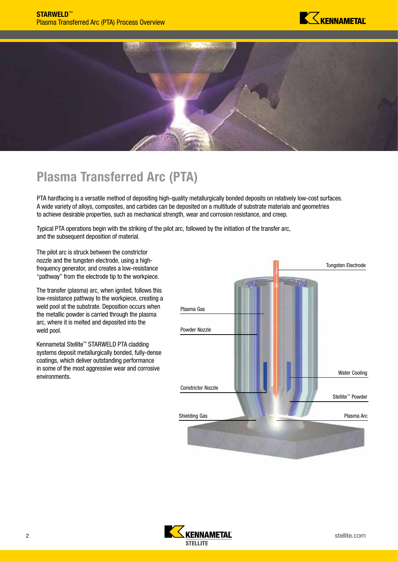

<span id="page-3-0"></span>

## Plasma Transferred Arc (PTA)

PTA hardfacing is a versatile method of depositing high-quality metallurgically bonded deposits on relatively low-cost surfaces. A wide variety of alloys, composites, and carbides can be deposited on a multitude of substrate materials and geometries to achieve desirable properties, such as mechanical strength, wear and corrosion resistance, and creep.

Typical PTA operations begin with the striking of the pilot arc, followed by the initiation of the transfer arc, and the subsequent deposition of material.

The pilot arc is struck between the constrictor nozzle and the tungsten electrode, using a highfrequency generator, and creates a low-resistance "pathway" from the electrode tip to the workpiece.

The transfer (plasma) arc, when ignited, follows this low-resistance pathway to the workpiece, creating a weld pool at the substrate. Deposition occurs when the metallic powder is carried through the plasma arc, where it is melted and deposited into the weld pool.

Kennametal Stellite™ STARWELD PTA cladding systems deposit metallurgically bonded, fully-dense coatings, which deliver outstanding performance in some of the most aggressive wear and corrosive environments.



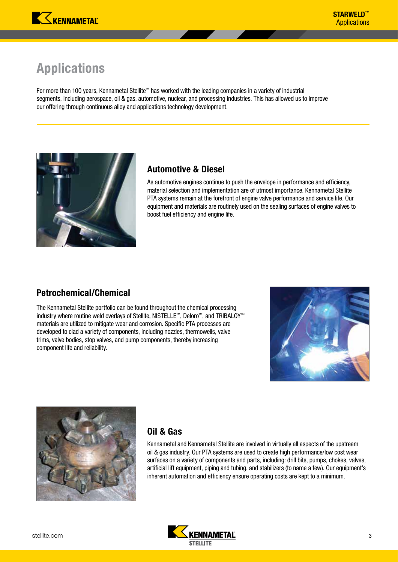# <span id="page-4-0"></span>Applications

For more than 100 years, Kennametal Stellite™ has worked with the leading companies in a variety of industrial segments, including aerospace, oil & gas, automotive, nuclear, and processing industries. This has allowed us to improve our offering through continuous alloy and applications technology development.



## Automotive & Diesel

As automotive engines continue to push the envelope in performance and efficiency, material selection and implementation are of utmost importance. Kennametal Stellite PTA systems remain at the forefront of engine valve performance and service life. Our equipment and materials are routinely used on the sealing surfaces of engine valves to boost fuel efficiency and engine life.

## Petrochemical/Chemical

The Kennametal Stellite portfolio can be found throughout the chemical processing industry where routine weld overlays of Stellite, NISTELLE™, Deloro™, and TRIBALOY™ materials are utilized to mitigate wear and corrosion. Specific PTA processes are developed to clad a variety of components, including nozzles, thermowells, valve trims, valve bodies, stop valves, and pump components, thereby increasing component life and reliability.





## Oil & Gas

Kennametal and Kennametal Stellite are involved in virtually all aspects of the upstream oil & gas industry. Our PTA systems are used to create high performance/low cost wear surfaces on a variety of components and parts, including: drill bits, pumps, chokes, valves, artificial lift equipment, piping and tubing, and stabilizers (to name a few). Our equipment's inherent automation and efficiency ensure operating costs are kept to a minimum.

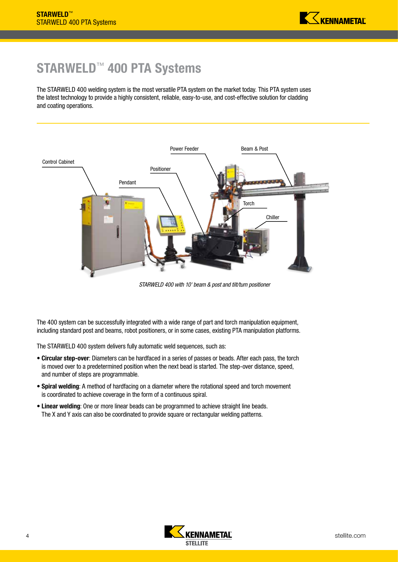# <span id="page-5-0"></span>STARWELD™ 400 PTA Systems

The STARWELD 400 welding system is the most versatile PTA system on the market today. This PTA system uses the latest technology to provide a highly consistent, reliable, easy-to-use, and cost-effective solution for cladding and coating operations.



*STARWELD 400 with 10' beam & post and tilt/turn positioner*

The 400 system can be successfully integrated with a wide range of part and torch manipulation equipment, including standard post and beams, robot positioners, or in some cases, existing PTA manipulation platforms.

The STARWELD 400 system delivers fully automatic weld sequences, such as:

- Circular step-over: Diameters can be hardfaced in a series of passes or beads. After each pass, the torch is moved over to a predetermined position when the next bead is started. The step-over distance, speed, and number of steps are programmable.
- Spiral welding: A method of hardfacing on a diameter where the rotational speed and torch movement is coordinated to achieve coverage in the form of a continuous spiral.
- Linear welding: One or more linear beads can be programmed to achieve straight line beads. The X and Y axis can also be coordinated to provide square or rectangular welding patterns.

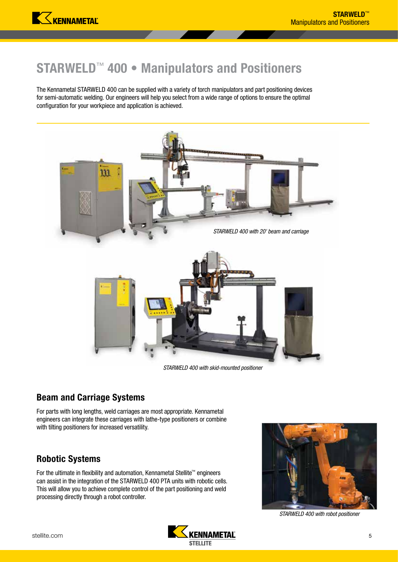## <span id="page-6-0"></span>STARWELD™ 400 • Manipulators and Positioners

The Kennametal STARWELD 400 can be supplied with a variety of torch manipulators and part positioning devices for semi-automatic welding. Our engineers will help you select from a wide range of options to ensure the optimal configuration for your workpiece and application is achieved.



*STARWELD 400 with skid-mounted positioner*

## Beam and Carriage Systems

For parts with long lengths, weld carriages are most appropriate. Kennametal engineers can integrate these carriages with lathe-type positioners or combine with tilting positioners for increased versatility.

#### Robotic Systems

For the ultimate in flexibility and automation, Kennametal Stellite™ engineers can assist in the integration of the STARWELD 400 PTA units with robotic cells. This will allow you to achieve complete control of the part positioning and weld processing directly through a robot controller.



*STARWELD 400 with robot positioner*

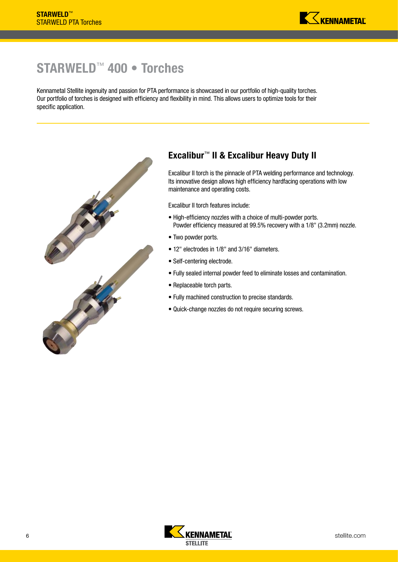## <span id="page-7-0"></span>STARWELD™ 400 • Torches

Kennametal Stellite ingenuity and passion for PTA performance is showcased in our portfolio of high-quality torches. Our portfolio of torches is designed with efficiency and flexibility in mind. This allows users to optimize tools for their specific application.



## Excalibur™ II & Excalibur Heavy Duty II

Excalibur II torch is the pinnacle of PTA welding performance and technology. Its innovative design allows high efficiency hardfacing operations with low maintenance and operating costs.

Excalibur II torch features include:

- High-efficiency nozzles with a choice of multi-powder ports. Powder efficiency measured at 99.5% recovery with a 1/8" (3.2mm) nozzle.
- Two powder ports.
- 12" electrodes in 1/8" and 3/16" diameters.
- Self-centering electrode.
- Fully sealed internal powder feed to eliminate losses and contamination.
- Replaceable torch parts.
- Fully machined construction to precise standards.
- Quick-change nozzles do not require securing screws.

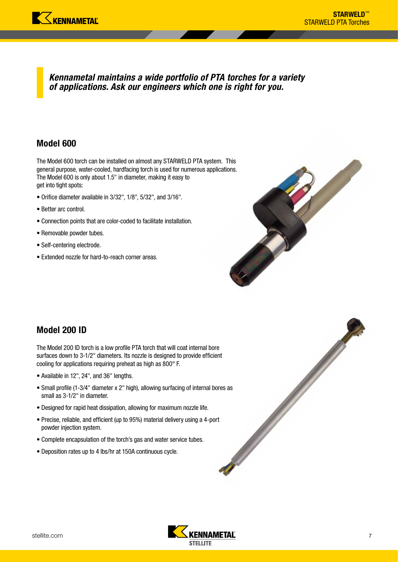*Kennametal maintains a wide portfolio of PTA torches for a variety of applications. Ask our engineers which one is right for you.*

#### Model 600

The Model 600 torch can be installed on almost any STARWELD PTA system. This general purpose, water-cooled, hardfacing torch is used for numerous applications. The Model 600 is only about 1.5" in diameter, making it easy to get into tight spots:

- Orifice diameter available in 3/32", 1/8", 5/32", and 3/16".
- Better arc control.
- Connection points that are color-coded to facilitate installation.
- Removable powder tubes.
- Self-centering electrode.
- Extended nozzle for hard-to-reach corner areas.



#### Model 200 ID

The Model 200 ID torch is a low profile PTA torch that will coat internal bore surfaces down to 3-1/2" diameters. Its nozzle is designed to provide efficient cooling for applications requiring preheat as high as 800° F.

- Available in 12", 24", and 36" lengths.
- Small profile (1-3/4" diameter x 2" high), allowing surfacing of internal bores as small as 3-1/2" in diameter.
- Designed for rapid heat dissipation, allowing for maximum nozzle life.
- Precise, reliable, and efficient (up to 95%) material delivery using a 4-port powder injection system.
- Complete encapsulation of the torch's gas and water service tubes.
- Deposition rates up to 4 lbs/hr at 150A continuous cycle.

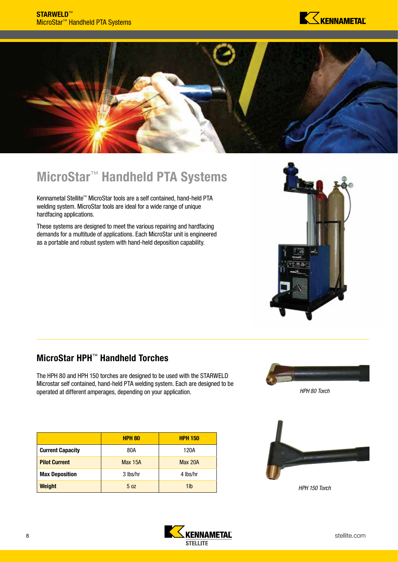

<span id="page-9-0"></span>

# MicroStar™ Handheld PTA Systems

Kennametal Stellite™ MicroStar tools are a self contained, hand-held PTA welding system. MicroStar tools are ideal for a wide range of unique hardfacing applications.

These systems are designed to meet the various repairing and hardfacing demands for a multitude of applications. Each MicroStar unit is engineered as a portable and robust system with hand-held deposition capability.



## MicroStar HPH™ Handheld Torches

The HPH 80 and HPH 150 torches are designed to be used with the STARWELD Microstar self contained, hand-held PTA welding system. Each are designed to be operated at different amperages, depending on your application.

|                         | <b>HPH 80</b>   | <b>HPH 150</b> |  |  |
|-------------------------|-----------------|----------------|--|--|
| <b>Current Capacity</b> | 80A             | 120A           |  |  |
| <b>Pilot Current</b>    | <b>Max 15A</b>  | <b>Max 20A</b> |  |  |
| <b>Max Deposition</b>   | 3 lbs/hr        | 4 lbs/hr       |  |  |
| <b>Weight</b>           | 5 <sub>0z</sub> | 1lb            |  |  |



*HPH 80 Torch* 



*HPH 150 Torch* 

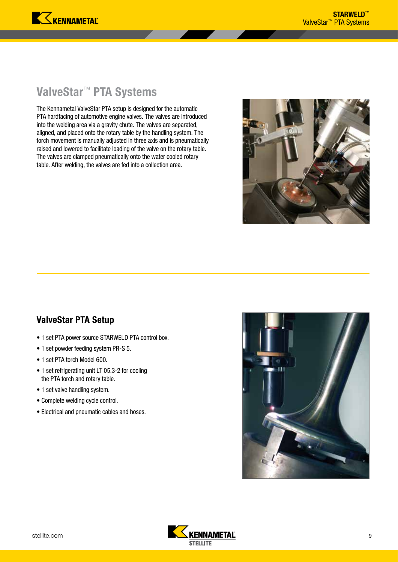## <span id="page-10-0"></span>ValveStar™ PTA Systems

The Kennametal ValveStar PTA setup is designed for the automatic PTA hardfacing of automotive engine valves. The valves are introduced into the welding area via a gravity chute. The valves are separated, aligned, and placed onto the rotary table by the handling system. The torch movement is manually adjusted in three axis and is pneumatically raised and lowered to facilitate loading of the valve on the rotary table. The valves are clamped pneumatically onto the water cooled rotary table. After welding, the valves are fed into a collection area.



### ValveStar PTA Setup

- 1 set PTA power source STARWELD PTA control box.
- 1 set powder feeding system PR-S 5.
- 1 set PTA torch Model 600.
- 1 set refrigerating unit LT 05.3-2 for cooling the PTA torch and rotary table.
- 1 set valve handling system.
- Complete welding cycle control.
- Electrical and pneumatic cables and hoses.



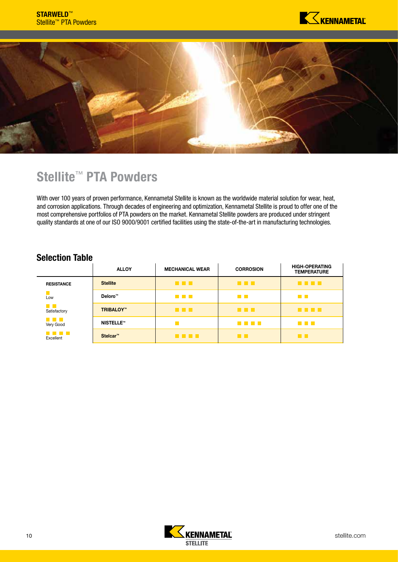

<span id="page-11-0"></span>

## Stellite<sup>™</sup> PTA Powders

With over 100 years of proven performance, Kennametal Stellite is known as the worldwide material solution for wear, heat, and corrosion applications. Through decades of engineering and optimization, Kennametal Stellite is proud to offer one of the most comprehensive portfolios of PTA powders on the market. Kennametal Stellite powders are produced under stringent quality standards at one of our ISO 9000/9001 certified facilities using the state-of-the-art in manufacturing technologies.

#### Selection Table

|                                | <b>ALLOY</b>        | <b>MECHANICAL WEAR</b> | <b>CORROSION</b> | <b>HIGH-OPERATING</b><br><b>TEMPERATURE</b> |
|--------------------------------|---------------------|------------------------|------------------|---------------------------------------------|
| <b>RESISTANCE</b>              | <b>Stellite</b>     | <b>.</b>               | a na m           | ----                                        |
| Low                            | Deloro <sup>™</sup> | a di Ba                | <b>The Co</b>    | <b>The Co</b>                               |
| an Ta<br>Satisfactory          | <b>TRIBALOY™</b>    | <b>.</b>               | a a s            | .                                           |
| <b>The Common</b><br>Very Good | <b>NISTELLE™</b>    |                        | <u>r a se</u>    | <u>ra masa</u>                              |
| <b>The Common</b><br>Excellent | Stelcar™            | .                      | a pr             | <b>TIL</b>                                  |

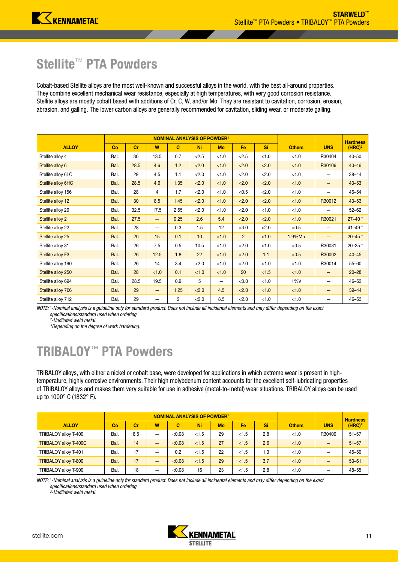## <span id="page-12-0"></span>Stellite™ PTA Powders

Cobalt-based Stellite alloys are the most well-known and successful alloys in the world, with the best all-around properties. They combine excellent mechanical wear resistance, especially at high temperatures, with very good corrosion resistance. Stellite alloys are mostly cobalt based with additions of Cr, C, W, and/or Mo. They are resistant to cavitation, corrosion, erosion, abrasion, and galling. The lower carbon alloys are generally recommended for cavitation, sliding wear, or moderate galling.

|                    |      |      | <b>NOMINAL ANALYSIS OF POWDER1</b> |                |           | <b>Hardness</b> |                |        |               |                   |                    |
|--------------------|------|------|------------------------------------|----------------|-----------|-----------------|----------------|--------|---------------|-------------------|--------------------|
| <b>ALLOY</b>       | Co   | cr   | W                                  | $\mathbf{C}$   | <b>Ni</b> | Mo              | Fe             | Si     | <b>Others</b> | <b>UNS</b>        | (HRC) <sup>2</sup> |
| Stellite alloy 4   | Bal. | 30   | 13.5                               | 0.7            | < 2.5     | < 1.0           | < 2.5          | < 1.0  | < 1.0         | R30404            | $40 - 50$          |
| Stellite alloy 6   | Bal. | 28.5 | 4.6                                | 1.2            | < 2.0     | < 1.0           | < 2.0          | 2.0    | < 1.0         | R30106            | $40 - 46$          |
| Stellite alloy 6LC | Bal. | 29   | 4.5                                | 1.1            | < 2.0     | < 1.0           | < 2.0          | < 2.0  | < 1.0         |                   | $38 - 44$          |
| Stellite alloy 6HC | Bal. | 28.5 | 4.6                                | 1.35           | < 2.0     | < 1.0           | < 2.0          | < 2.0  | < 1.0         | -                 | $43 - 53$          |
| Stellite alloy 156 | Bal. | 28   | 4                                  | 1.7            | < 2.0     | < 1.0           | < 0.5          | < 2.0  | $<1.0$        |                   | $46 - 54$          |
| Stellite alloy 12  | Bal. | 30   | 8.5                                | 1.45           | < 2.0     | < 1.0           | < 2.0          | < 2.0  | < 1.0         | R30012            | $43 - 53$          |
| Stellite alloy 20  | Bal. | 32.5 | 17.5                               | 2.55           | < 2.0     | $<1.0$          | < 2.0          | < 1.0  | $<1.0$        |                   | $52 - 62$          |
| Stellite alloy 21  | Bal. | 27.5 | $\qquad \qquad -$                  | 0.25           | 2.6       | 5.4             | < 2.0          | < 2.0  | < 1.0         | R30021            | $27 - 40$ *        |
| Stellite alloy 22  | Bal. | 28   | $\qquad \qquad -$                  | 0.3            | 1.5       | 12              | < 3.0          | < 2.0  | < 0.5         |                   | 41-49 $*$          |
| Stellite alloy 25  | Bal. | 20   | 15                                 | 0.1            | 10        | < 1.0           | $\overline{2}$ | < 1.0  | 1.9%Mn        | $\qquad \qquad -$ | $20 - 45$ *        |
| Stellite alloy 31  | Bal. | 26   | 7.5                                | 0.5            | 10.5      | < 1.0           | < 2.0          | < 1.0  | < 0.5         | R30031            | 20-35*             |
| Stellite alloy F3  | Bal. | 26   | 12.5                               | 1.8            | 22        | < 1.0           | < 2.0          | 1.1    | < 0.5         | R30002            | $40 - 45$          |
| Stellite alloy 190 | Bal. | 26   | 14                                 | 3.4            | < 2.0     | < 1.0           | < 2.0          | < 1.0  | < 1.0         | R30014            | $55 - 60$          |
| Stellite alloy 250 | Bal. | 28   | < 1.0                              | 0.1            | < 1.0     | <1.0            | 20             | $<1.5$ | < 1.0         |                   | $20 - 28$          |
| Stellite alloy 694 | Bal. | 28.5 | 19.5                               | 0.9            | 5         | —               | < 3.0          | < 1.0  | 1%V           |                   | $46 - 52$          |
| Stellite alloy 706 | Bal. | 29   | $\qquad \qquad -$                  | 1.25           | < 2.0     | 4.5             | < 2.0          | < 1.0  | < 1.0         | -                 | $39 - 44$          |
| Stellite alloy 712 | Bal. | 29   | —                                  | $\overline{2}$ | < 2.0     | 8.5             | < 2.0          | < 1.0  | < 1.0         |                   | $46 - 53$          |

*NOTE: 1 -Nominal analysis is a guideline only for standard product. Does not include all incidental elements and may differ depending on the exact specifications/standard used when ordering. 2*

*-Undiluted weld metal.*

*\*Depending on the degree of work hardening.*

# TRIBALOY™ PTA Powders

TRIBALOY alloys, with either a nickel or cobalt base, were developed for applications in which extreme wear is present in hightemperature, highly corrosive environments. Their high molybdenum content accounts for the excellent self-lubricating properties of TRIBALOY alloys and makes them very suitable for use in adhesive (metal-to-metal) wear situations. TRIBALOY alloys can be used up to 1000° C (1832° F).

|                             |      |     | <b>NOMINAL ANALYSIS OF POWDER1</b> |        |       | <b>Hardness</b> |       |     |               |            |                    |
|-----------------------------|------|-----|------------------------------------|--------|-------|-----------------|-------|-----|---------------|------------|--------------------|
| <b>ALLOY</b>                | Co   | cr  | w                                  | C      | Ni    | Mo              | Fe    | Si  | <b>Others</b> | <b>UNS</b> | (HRC) <sup>2</sup> |
| TRIBALOY alloy T-400        | Bal. | 8.5 | –                                  | < 0.08 | < 1.5 | 29              | <1.5  | 2.8 | < 1.0         | R30400     | $51 - 57$          |
| TRIBALOY alloy T-400C       | Bal. | 14  | –                                  | < 0.08 | < 1.5 | 27              | < 1.5 | 2.6 | < 1.0         |            | $51 - 57$          |
| TRIBALOY alloy T-401        | Bal. | 17  |                                    | 0.2    | < 1.5 | 22              | < 1.5 | 1.3 | < 1.0         |            | $45 - 50$          |
| <b>TRIBALOY alloy T-800</b> | Bal. | 17  | –                                  | < 0.08 | < 1.5 | 29              | < 1.5 | 3.7 | < 1.0         |            | $53 - 61$          |
| TRIBALOY alloy T-900        | Bal. | 18  |                                    | < 0.08 | 16    | 23              | < 1.5 | 2.8 | < 1.0         |            | $48 - 55$          |

*NOTE: 1 -Nominal analysis is a guideline only for standard product. Does not include all incidental elements and may differ depending on the exact specifications/standard used when ordering.* 

*2 -Undiluted weld metal.*

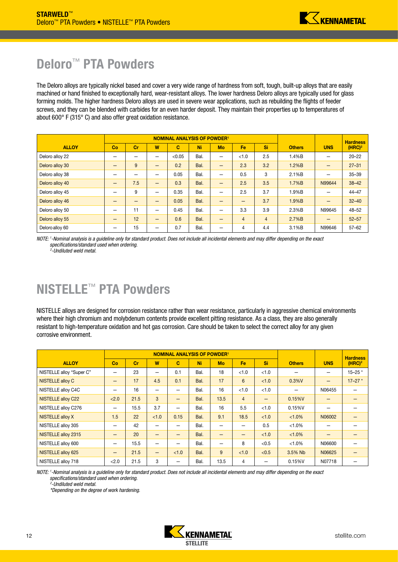## <span id="page-13-0"></span>Deloro<sup>™</sup> PTA Powders

The Deloro alloys are typically nickel based and cover a very wide range of hardness from soft, tough, built-up alloys that are easily machined or hand finished to exceptionally hard, wear-resistant alloys. The lower hardness Deloro alloys are typically used for glass forming molds. The higher hardness Deloro alloys are used in severe wear applications, such as rebuilding the flights of feeder screws, and they can be blended with carbides for an even harder deposit. They maintain their properties up to temperatures of about 600° F (315° C) and also offer great oxidation resistance.

|                 |    |     | <b>NOMINAL ANALYSIS OF POWDER1</b> |        |      | <b>Hardness</b>          |                 |                |               |                          |                    |
|-----------------|----|-----|------------------------------------|--------|------|--------------------------|-----------------|----------------|---------------|--------------------------|--------------------|
| <b>ALLOY</b>    | Co | Cr  | W                                  | C      | Ni   | Mo                       | Fe              | Si             | <b>Others</b> | <b>UNS</b>               | (HRC) <sup>2</sup> |
| Deloro alloy 22 |    |     | —                                  | < 0.05 | Bal. | $\overline{\phantom{0}}$ | < 1.0           | 2.5            | 1.4%B         |                          | $20 - 22$          |
| Deloro alloy 30 | –  | 9   | —                                  | 0.2    | Bal. | -                        | 2.3             | 3.2            | 1.2%B         | $\qquad \qquad$          | $27 - 31$          |
| Deloro alloy 38 | —  | -   | —                                  | 0.05   | Bal. |                          | 0.5             | 3              | 2.1%B         | $\overline{\phantom{0}}$ | $35 - 39$          |
| Deloro alloy 40 | -  | 7.5 | —                                  | 0.3    | Bal. | —                        | 2.5             | 3.5            | 1.7%B         | N99644                   | $38 - 42$          |
| Deloro alloy 45 |    | 9   | —                                  | 0.35   | Bal. | $\overline{\phantom{0}}$ | 2.5             | 3.7            | 1.9%B         |                          | $44 - 47$          |
| Deloro alloy 46 |    |     |                                    | 0.05   | Bal. | -                        | $\qquad \qquad$ | 3.7            | 1.9%B         | -                        | $32 - 40$          |
| Deloro alloy 50 | –  | 11  | —                                  | 0.45   | Bal. | —                        | 3.3             | 3.9            | 2.3%B         | N99645                   | $48 - 52$          |
| Deloro alloy 55 |    | 12  | —                                  | 0.6    | Bal. | -                        | $\overline{4}$  | $\overline{4}$ | 2.7%B         | $\qquad \qquad$          | $52 - 57$          |
| Deloro alloy 60 |    | 15  | –                                  | 0.7    | Bal. | –                        | $\overline{4}$  | 4.4            | 3.1%B         | N99646                   | $57 - 62$          |

*NOTE: 1 -Nominal analysis is a guideline only for standard product. Does not include all incidental elements and may differ depending on the exact specifications/standard used when ordering. 2 -Undiluted weld metal.*

# NISTELLE™ PTA Powders

NISTELLE alloys are designed for corrosion resistance rather than wear resistance, particularly in aggressive chemical environments where their high chromium and molybdenum contents provide excellent pitting resistance. As a class, they are also generally resistant to high-temperature oxidation and hot gas corrosion. Care should be taken to select the correct alloy for any given corrosive environment.

|                           |                          |      | <b>NOMINAL ANALYSIS OF POWDER1</b> |       |           | <b>Hardness</b>          |                 |       |               |                   |                          |
|---------------------------|--------------------------|------|------------------------------------|-------|-----------|--------------------------|-----------------|-------|---------------|-------------------|--------------------------|
| <b>ALLOY</b>              | Co                       | Cr   | W                                  | C.    | <b>Ni</b> | <b>Mo</b>                | Fe              | Si    | <b>Others</b> | <b>UNS</b>        | (HRC) <sup>2</sup>       |
| NISTELLE alloy "Super C"  | –                        | 23   | —                                  | 0.1   | Bal.      | 18                       | < 1.0           | < 1.0 |               |                   | $15 - 25$ *              |
| NISTELLE alloy C          | –                        | 17   | 4.5                                | 0.1   | Bal.      | 17                       | 6               | < 1.0 | 0.3%V         | $\qquad \qquad -$ | $17 - 27$ *              |
| NISTELLE alloy C4C        | $\overline{\phantom{0}}$ | 16   | —                                  | —     | Bal.      | 16                       | < 1.0           | < 1.0 | —             | N06455            | $\overline{\phantom{0}}$ |
| <b>NISTELLE alloy C22</b> | < 2.0                    | 21.5 | 3                                  |       | Bal.      | 13.5                     | $\overline{4}$  |       | 0.15%V        |                   |                          |
| NISTELLE alloy C276       | —                        | 15.5 | 3.7                                |       | Bal.      | 16                       | 5.5             | < 1.0 | 0.15%V        |                   |                          |
| <b>NISTELLE alloy X</b>   | 1.5                      | 22   | < 1.0                              | 0.15  | Bal.      | 9.1                      | 18.5            | < 1.0 | $< 1.0\%$     | N06002            |                          |
| NISTELLE alloy 305        | –                        | 42   | —                                  |       | Bal.      |                          |                 | 0.5   | $< 1.0\%$     |                   |                          |
| NISTELLE alloy 2315       | -                        | 20   |                                    |       | Bal.      | –                        | $\qquad \qquad$ | < 1.0 | $< 1.0\%$     |                   |                          |
| NISTELLE alloy 600        | —                        | 15.5 | —                                  | —     | Bal.      | $\overline{\phantom{0}}$ | 8               | < 0.5 | $< 1.0\%$     | N06600            |                          |
| NISTELLE alloy 625        | $\qquad \qquad$          | 21.5 | -                                  | < 1.0 | Bal.      | 9                        | < 1.0           | < 0.5 | 3.5% Nb       | N06625            |                          |
| NISTELLE alloy 718        | < 2.0                    | 21.5 | 3                                  |       | Bal.      | 13.5                     | $\overline{4}$  | —     | 0.15%V        | N07718            |                          |

*NOTE: 1 -Nominal analysis is a guideline only for standard product. Does not include all incidental elements and may differ depending on the exact specifications/standard used when ordering. 2*

*-Undiluted weld metal.*

*\*Depending on the degree of work hardening.*

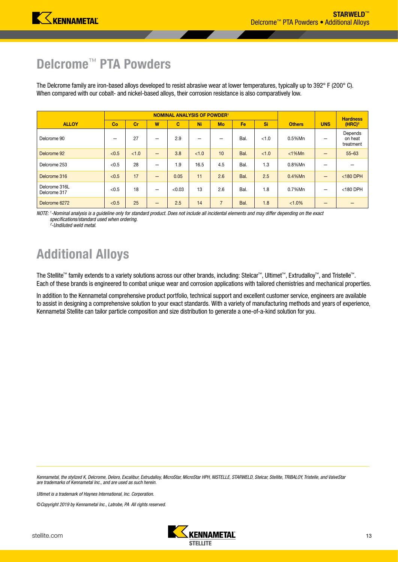## <span id="page-14-0"></span>Delcrome<sup>™</sup> PTA Powders

The Delcrome family are iron-based alloys developed to resist abrasive wear at lower temperatures, typically up to 392° F (200° C). When compared with our cobalt- and nickel-based alloys, their corrosion resistance is also comparatively low.

|                               |       |       | <b>NOMINAL ANALYSIS OF POWDER1</b> |        |       | <b>Hardness</b> |      |       |               |            |                                 |
|-------------------------------|-------|-------|------------------------------------|--------|-------|-----------------|------|-------|---------------|------------|---------------------------------|
| <b>ALLOY</b>                  | Co    | Cr    | W                                  | C      | Ni    | Mo              | Fe   | Si    | <b>Others</b> | <b>UNS</b> | (HRC) <sup>2</sup>              |
| Delcrome 90                   |       | 27    |                                    | 2.9    |       | –               | Bal. | < 1.0 | 0.5%Mn        | –          | Depends<br>on heat<br>treatment |
| Delcrome 92                   | < 0.5 | < 1.0 | $\overline{\phantom{0}}$           | 3.8    | < 1.0 | 10              | Bal. | < 1.0 | $<$ 1%Mn      | –          | $55 - 63$                       |
| Delcrome 253                  | < 0.5 | 28    | –                                  | 1.9    | 16.5  | 4.5             | Bal. | 1.3   | 0.8%Mn        |            |                                 |
| Delcrome 316                  | < 0.5 | 17    |                                    | 0.05   | 11    | 2.6             | Bal. | 2.5   | $0.4\%$ Mn    | –          | $<$ 180 DPH                     |
| Delcrome 316L<br>Delcrome 317 | < 0.5 | 18    |                                    | < 0.03 | 13    | 2.6             | Bal. | 1.8   | 0.7%Mn        | –          | $<$ 180 DPH                     |
| Delcrome 6272                 | < 0.5 | 25    | –                                  | 2.5    | 14    | $\overline{7}$  | Bal. | 1.8   | $< 1.0\%$     |            |                                 |

*NOTE: 1 -Nominal analysis is a guideline only for standard product. Does not include all incidental elements and may differ depending on the exact specifications/standard used when ordering.* 

*2 -Undiluted weld metal.*

# Additional Alloys

The Stellite™ family extends to a variety solutions across our other brands, including: Stelcar™, Ultimet™, Extrudalloy™, and Tristelle™. Each of these brands is engineered to combat unique wear and corrosion applications with tailored chemistries and mechanical properties.

In addition to the Kennametal comprehensive product portfolio, technical support and excellent customer service, engineers are available to assist in designing a comprehensive solution to your exact standards. With a variety of manufacturing methods and years of experience, Kennametal Stellite can tailor particle composition and size distribution to generate a one-of-a-kind solution for you.

*Kennametal, the stylized K, Delcrome, Deloro, Excalibur, Extrudalloy, MicroStar, MicroStar HPH, NISTELLE, STARWELD, Stelcar, Stellite, TRIBALOY, Tristelle, and ValveStar are trademarks of Kennametal Inc., and are used as such herein.*

*Ultimet is a trademark of Haynes International, Inc. Corporation.*

©*Copyright 2019 by Kennametal Inc., Latrobe, PA All rights reserved.*